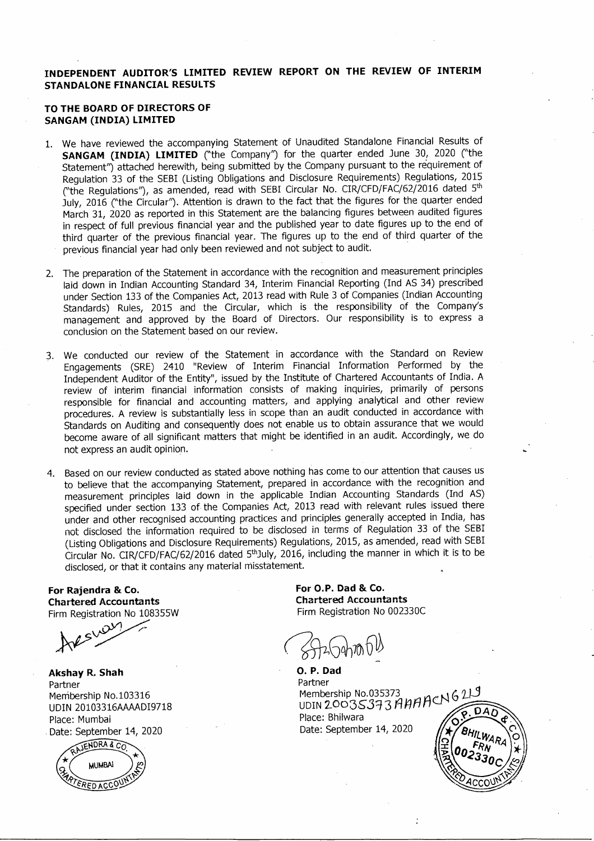## **INDEPENDENT AUDITOR'S LIMITED REVIEW REPORT ON THE REVIEW OF INTERIM STANDALONE FINANCIAL RESULTS**

#### **TO THE BOARD OF DIRECTORS OF SANGAM (INDIA) LIMITED**

- 1. We have reviewed the accompanying Statement of Unaudited Standalone Financial Results of **SANGAM (INDIA) LIMITED** ("the Company") for the quarter ended June 30, 2020 ("the Statement'') attached herewith, being submitted by the Company pursuant to the requirement of Regulation 33 of the SEBI (Listing Obligations and Disclosure Requirements) Regulations, 2015 ("the Regulations"), as amended, read with SEBI Circular No. CIR/CFD/FAC/62/2016 dated 5th July, 2016 ("the Circular"). Attention is drawn to the fact that the figures for the quarter ended March 31, 2020 as reported in this Statement are the balancing figures between audited figures in respect of full previous financial year and the published year to date figures up to the end of third quarter of the previous financial year. The figures up to the end of third quarter of the previous financial year had only been reviewed and not subject to audit. .
- 2. The preparation of the Statement in accordance with the recognition and measurement principles laid down in Indian Accounting Standard 34, Interim Financial Reporting (Ind AS 34) prescribed under Section 133 of the Companies Act, 2013 read with Rule 3 of Companies (Indian Accounting Standards) Rules, 2015 and the Circular, which is the responsibility of the Company's management and approved by the Board of Directors. Our responsibility is to express a conclusion on the Statement based on our review.
- 3. We conducted our review of the Statement in accordance with the Standard on Review Engagements (SRE) 2410 "Review of Interim Financial Information Performed by the Independent Auditor of the Entity", issued by the Institute of Chartered Accountants of India. A review of interim financial information consists of making inquiries, primarily of persons responsible for financial and accounting matters, and applying analytical and other review procedures. A review is substantially less in scope than an audit conducted in accordance with Standards on Auditing and consequently does not enable us to obtain assurance that we would become aware of all Significant matters that might be identified in an audit. Accordingly, we do not express an audit opinion.
- 4. Based on our review conducted as stated above nothing has come to our attention that causes us to believe that the accompanying Statement, prepared in accordance with the recognition and measurement principles laid down in the applicable Indian Accounting Standards (Ind AS) specified under section 133 of the Companies Act, 2013 read with relevant rules issued there under and other recognised accounting practices and principles generally accepted in India, has not disclosed the information required to be disclosed in terms of Regulation 33 of the SE81 (Listing Obligations and Disclosure Requirements) Regulations, 2015, as amended, read with SEBI Circular No. CIR/CFD/FAC/62/2016 dated 5thJuly, 2016, including the manner in which it is to be disclosed, or that it contains any material misstatement.

**For Rajendra &.. Co. Chartered Accountants** Firm Registration No 108355W

 $\mathcal{O}^{\mathcal{V}}$ ~~

**Akshay R. Shah** Partner Menibership NO.103316 UDIN 20103316AAAADI9718 Place: Mumbai . Date: September 14, 2020



**For O.P. Dad &.. Co. Chartered Accountants** Firm Registration No 002330C

O. P. DadPartner Membership No.035373<br>UDIN 20035373 AHAACN 621 Place: Bhilwara Date: September 14, 2020

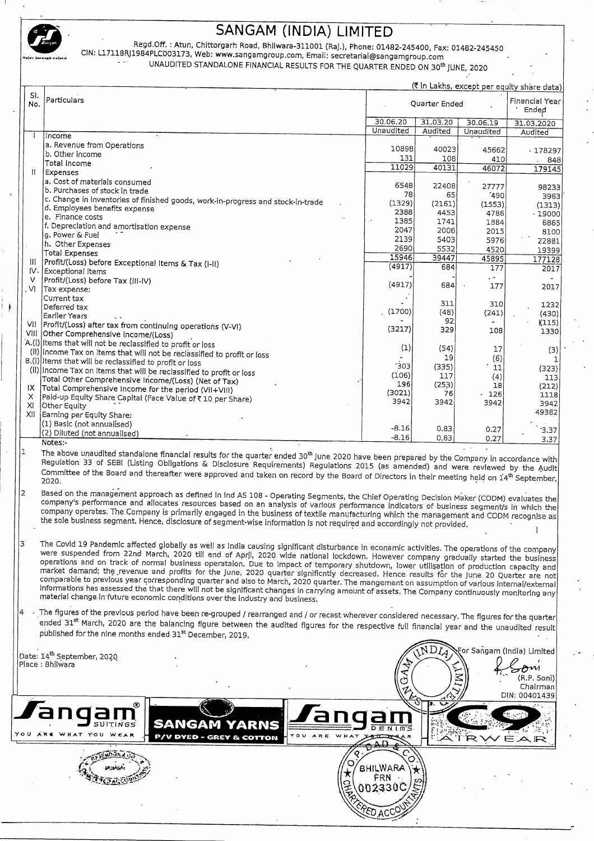

j

# **SANGAM (INDIA) LIMITED**

*Regd.Off. :* Atun, Chittorgarh Road, Bhllwara-31l001 CRaJ.),Phone: 01482-245400, Fax: 01482-245450 CIN: U7118RJ1984PLC003173, Web: www.sangamgroup.com. Email: secretarial@sangamgroup.com UNAUDITED STANDALONE FINANCIAL RESULTS FOR THE QUARTER ENDED ON 30th JUNE, *2020*

(₹ In Lakhs, except per equity share data) SI. Particulars Financial Year Quarter Ended Ended 30.06.20 31.03.20  $30.06.19$ 31.03.2020 Unaudited Audited Unaudited Audited Income a. Revenue from Operations 10898 40023 45662  $-178297$ b. Other income 131 108 410 848 Total Income 11029 40131 46072 179145 II Expenses a. Cost of materials consumed 6548 22408 27777 **GRZ33** b. Purchases of stock in trade 78 65  $'490$ 3963  $\vert$ c. Change in inventories of finished goods, work-in-progress and stock-in-trade  $(1329)$ (2161)  $(1553)$  $(1313)$ d. Employees benefits expense 2388 4453 4786 19000 e, Finance costs 1385 1741 1884 6865 f. Depreciation and amortisation expense 2047 2006 2015 8100 g. Power & Fuel 2139 5403 5976 22881 h. Other Expenses 2690 5532<br>39447 4520 19399 Total Expenses 15946 45895 177128 III Profit/(Loss) before Exceptional Items & Tax (I-II)<br>IV. Exceptional Items  $(4917)$ 684 177 2017 Exceptional Items V  $\left|$ Profit/(Loss) before Tax (III-IV)<br>VI Tax expense:  $(4917)$ 684 177 2017 Tax expense: Current tax  $\begin{array}{c|c} 311 & 310 & 1232 \\ (48) & (241) & (430) \end{array}$ Deferred tax (1700) (48) (241) (430) Earlier Years  $\begin{array}{c|c} 92 & -115 \\ 329 & 108 \end{array}$  (115) VII Profit/(Loss) after tax from continuing operations (V-VI) (3217) 329 108 1330 VIII Other Comprehensive Income/(Loss) A.(i) Items that will not be reclassified to profit or loss (1) (54) 17 (3) (il) Income Tax on Items that will not be reclassified to profit or loss 19 (6) 1 B.(i) Items that will be reclassified to profit or loss  $\begin{array}{c|c} \n \begin{array}{c|c} \n \begin{array}{c} \n \begin{array}{c} \n \begin{array}{c} \n \begin{array}{c} \n \begin{array}{c} \n \n \end{array} & \n \end{array} & \n \end{array} & \n \begin{array}{c} \n \begin{array}{c} \n \begin{array}{c} \n \begin{array}{c} \n \n \end{array} & \n \end{array} & \n \end{array} & \n \end{array} & \n \begin{array}{c} \n \begin{array}{c} \n \begin{array}{c} \n \begin{array}{c} \n \n \end{array} & \n \end{array} & \n \end{$ (II) Income Tax on Items that will be reclassified to profit or loss  $(106)$  117  $(4)$  113 Total Other Comprehensive Income/(Loss) (Net of Tax)  $\begin{array}{c|c} 196 & (253) & 18 & (212) \end{array}$ <br>(3021) 76 - 126 1118 IX Total Comprehensive Income for the period (VII+VIII)<br>X | Paid-un Foulty Share Capital (Face Value of 7.10 apr 5) (3021) 76 126 1118 X Paid-up Equity Share Capital (Face Value of ₹ 10 per Share)<br>XL Other Foulty 3942 3942 3942 3942  $\hbox{\rm\thinspace lot}$  Equity 49382 XII Earning per Equity Share: (1) Basic (not annuallsed) -8.16 0.83 0.27 3.3 (2) Diluted (not annualised) <u>-9,16 0.83 0.27 3,37</u><br>Notes:- "2020" 3,37 0.27 3,37 0.27 3,37 0.27 3,37 0.27 3,37 0.27 3,37 0.27 3,37 0.27 3,37 0.27 3,37 0.27 3,40 0. <sup>1</sup> The above unaudited standalone financial results for the quarter ended 30<sup>th</sup> June 2020 have been prepared by the Company in accordance with Regulation 33 of SEBI (Listing Obligations & Disclosure Requirements) Regulations 2015 (as amended) and were revIewed by the Audit committee of the Board and thereafter were approved and taken on record by the Board of Directors in their meeting held on 14<sup>th</sup> Septembe<br>2020. 2 Based on the management approach as defined in lnd AS 108 - Operating Segments, the Chief Operating Decision Maker (CODM) evaluates the company's performance and allocates resources based on an analysis of various performance indicators of business seqrnent/s in which the company operates, The Company is primarily engaged in the business of textile manufacturing which the management and CODM recognise as the sole business segment. Hence, disclosure of segment-wise information is not required and accordingly not provided.  $\vert$ 3  $\vert$  The Covid 19 Pandemic affected globally as well as India causing significant disturbance in econamic activities. The operations of the company were suspended from 22nd March, 2020 till end of April, 2020 wide national lockdown. However company gradually started the business operations and on track of normal business operataion. Due to impact of temporary shutdown, lower utilisation of production capacity and market demand; the revenue and profits for the June, 2020 quarter significntly decreased. Hence results for the June 20 Quarter are not comparable to previous year correspondlnq quarter and also to March, 2020 quarter, The mangement on assumption of various internal/external informations has assessed the that there will not be significant changes in carrylnq amount of assets, The Company continuously monitoring any material change in future economic conditions over the industry and business, 4 The figures of the previous period have been re-grouped / rearranged and / or recast wherever considered necessary. The figures for the quarter ended 31<sup>st</sup> March, 2020 are the balancing figure between the audited figures for the respective full financial year and the unaudited result published for the nine months ended 31st December, 2019.

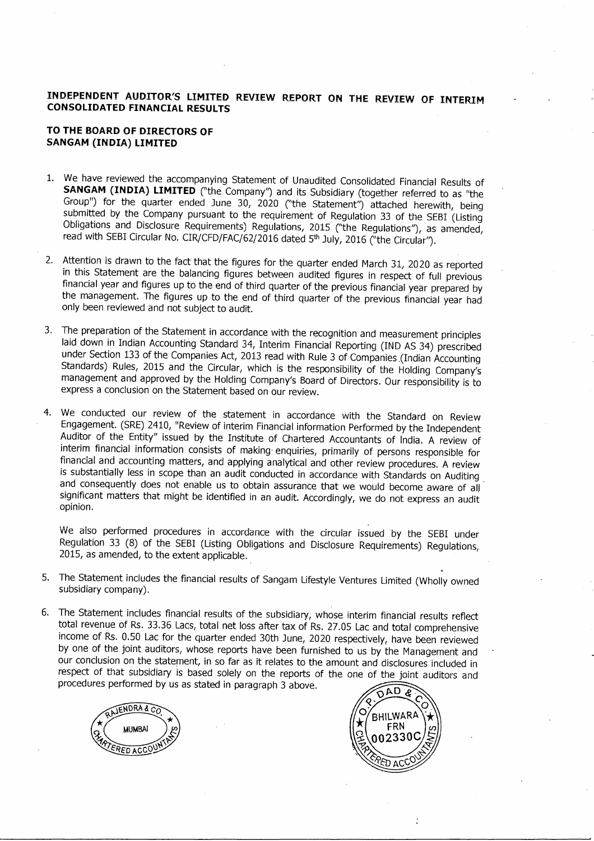### **INDEPENDENT AUDITOR'S LIMITED REVIEW REPORT ON THE REVIEW OF INTERIM CONSOLIDATED FINANCIAL RESULTS**

#### **TO THE BOARD OF DIRECTORS OF SANGAM (INDIA) LIMITED**

- 1. We have reviewed the accompanying Statement of Unaudited Consolidated Financial Results of **SANGAM (INDIA) LIMITED** ("the Company") and its Subsidiary (together referred to as "the Group") for the quarter ended June 30, 2020 ("the Statement") attached herewith, being submitted by the Company pursuant to the requirement of Regulation 33 of the SEBI (Listing Obligations and Disclosure Requirements) Regulations, 2015 ("the Regulations"), as amended, read with SEBI Circular No. CIR/CFD/FAC/62/2016 dated 5<sup>th</sup> July, 2016 ("the Circular").
- 2. Attention is drawn to the fact that the figures for the quarter ended March 31, 2020 as reported in this Statement are the balancing figures between audited figures in respect of full previous financial year and figures up to the end of third quarter of the previous financial year prepared by the management. The figures up to the end of third quarter of the previous financial year had only been reviewed and not subject to audit.
- 3. The preparation of the Statement in accordance with the recognition and measurement principles laid down in Indian Accounting Standard 34, Interim Financial Reporting (IND AS 34) prescribed under Section 133 of the Companies Act, 2013 read with Rule 3 of Companies .(Indian Accounting Standards) Rules, 2015 and the Circular, which is the responsibility of the Holding Company's management and approved by the Holding Company's Board of Directors. Our responsibility is to express a conclusion on the Statement based on our review.
- 4. We conducted our review of the statement in accordance with the Standard on Review Engagement. (SRE) 2410, "Review of interim Financial information Performed by the Independent Auditor of the Entity" issued by the Institute of Chartered Accountants of India. A review of interim financial information consists of making· enquiries, primarily of persons responsible for financial and accounting matters, and applying analytical and other review procedures. A review is substantially less in scope than an audit conducted in accordance with Standards on Auditing. and consequently does not enable us to obtain assurance that we would become aware of all Significant matters that might be identified in an audit. Accordingly, we do not express an audit opinion.

We also performed procedures in accordance with the circular issued by the SEBI under Regulation 33 (8) of the SEBI (Listing Obligations and Disclosure Requirements) Regulations, 2015, as amended, to the extent applicable.

- 5. The Statement includes the financial results of Sangam Lifestyle Ventures Limited (Wholly owned subsidiary company).
- 6. The Statement includes financial results of the subsidiary, whose interim financial results reflect total revenue of Rs. 33.36 Lacs, total net loss after tax of Rs. 27.05 Lac and total comprehensive income of Rs. 0.50 Lac for the quarter ended 30th June, 2020 respectively, have been reviewed by one of the joint auditors, whose reports have been furnished to us by the Management and our conclusion on the statement, in so far as it relates to the amount and disclosures included in respect of that subsidiary is based solely on the reports of the one of the joint auditors and procedures performed by us as stated in paragraph 3 above.



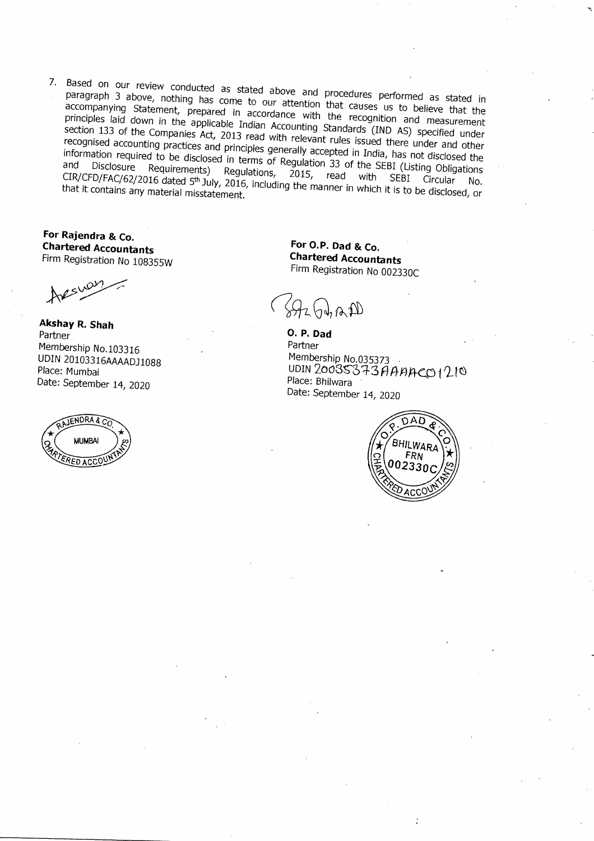7. Based on our review conducted as stated above and procedures performed as stated in **paragraph 3 above, nothing has come to our attention that** causes **us to believe that the accompanying Statement, prepared in accordance with the recognition and measurement** principles laid down in the applicable Indian Accounting Standards (IND AS) specified under section 133 of the Companies Act, 2013 read with relevant rules issued there under and other recognised accounting practices and principles generally accepted in India, has not disclosed the information required to be disclosed in terms of Regulation 33 of the SEBI (Listing Obligations<br>and Disclosure Requirements) Regulations, 2015, read with SEBI Circular No.  $\frac{1}{2}$  CIR/CED/EAC/C3/30 Negulations) Regulations, 2015, read with SEBI Circulations CIR/CFD/FAC/62/2016 dated <sup>5</sup>'" July, 2016, including the manner in which it is to be disclosed, or **that it contains any material misstatement.**

**For Rajendra & Co. Chartered Accountants Firm Registration No 108355W**

**Akshay R. Shah Partner Membership No.103316 UDIN 20103316AAAADJ1088 Place: Mumbai Date: September 14, 2020**



**For O.P. Dad & Co. Chartered Accountants Firm Registration No 002330C**

 $H_2(\phi,n)$ 

**O.P. Dad Partner Membership No.035373 . UDIN** *2003\$'01-* **3** *A* **{tti)q.<:,CJ <sup>t</sup> 1.1**o **Place: Bhilwara Date: September 14, 2020**